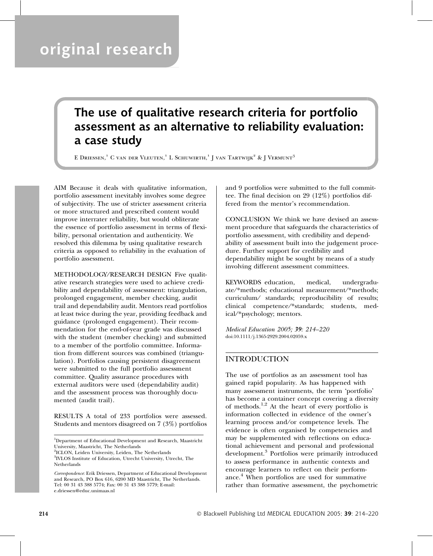# original research

## The use of qualitative research criteria for portfolio assessment as an alternative to reliability evaluation: a case study

E DRIESSEN,<sup>1</sup> C van der Vleuten,<sup>1</sup> L Schuwirth,<sup>1</sup> J van Tartwijk<sup>2</sup> & J Vermunt<sup>3</sup>

AIM Because it deals with qualitative information, portfolio assessment inevitably involves some degree of subjectivity. The use of stricter assessment criteria or more structured and prescribed content would improve interrater reliability, but would obliterate the essence of portfolio assessment in terms of flexibility, personal orientation and authenticity. We resolved this dilemma by using qualitative research criteria as opposed to reliability in the evaluation of portfolio assessment.

METHODOLOGY/RESEARCH DESIGN Five qualitative research strategies were used to achieve credibility and dependability of assessment: triangulation, prolonged engagement, member checking, audit trail and dependability audit. Mentors read portfolios at least twice during the year, providing feedback and guidance (prolonged engagement). Their recommendation for the end-of-year grade was discussed with the student (member checking) and submitted to a member of the portfolio committee. Information from different sources was combined (triangulation). Portfolios causing persistent disagreement were submitted to the full portfolio assessment committee. Quality assurance procedures with external auditors were used (dependability audit) and the assessment process was thoroughly documented (audit trail).

RESULTS A total of 233 portfolios were assessed. Students and mentors disagreed on 7 (3%) portfolios

1 Department of Educational Development and Research, Maastricht University, Maastricht, The Netherlands

<sup>2</sup>ICLON, Leiden University, Leiden, The Netherlands 3 IVLOS Institute of Education, Utrecht University, Utrecht, The **Netherlands** 

Correspondence: Erik Driessen, Department of Educational Development and Research, PO Box 616, 6200 MD Maastricht, The Netherlands. Tel: 00 31 43 388 5774; Fax: 00 31 43 388 5779; E-mail: e.driessen@educ.unimaas.nl

and 9 portfolios were submitted to the full committee. The final decision on 29 (12%) portfolios differed from the mentor's recommendation.

CONCLUSION We think we have devised an assessment procedure that safeguards the characteristics of portfolio assessment, with credibility and dependability of assessment built into the judgement procedure. Further support for credibility and dependability might be sought by means of a study involving different assessment committees.

KEYWORDS education, medical, undergraduate/\*methods; educational measurement/\*methods; curriculum/ standards; reproducibility of results; clinical competence/\*standards; students, medical/\*psychology; mentors.

Medical Education 2005; 39: 214–220 doi:10.1111/j.1365-2929.2004.02059.x

## INTRODUCTION

The use of portfolios as an assessment tool has gained rapid popularity. As has happened with many assessment instruments, the term 'portfolio' has become a container concept covering a diversity of methods.<sup>1,2</sup> At the heart of every portfolio is information collected in evidence of the owner's learning process and/or competence levels. The evidence is often organised by competencies and may be supplemented with reflections on educational achievement and personal and professional development.<sup>3</sup> Portfolios were primarily introduced to assess performance in authentic contexts and encourage learners to reflect on their performance.<sup>4</sup> When portfolios are used for summative rather than formative assessment, the psychometric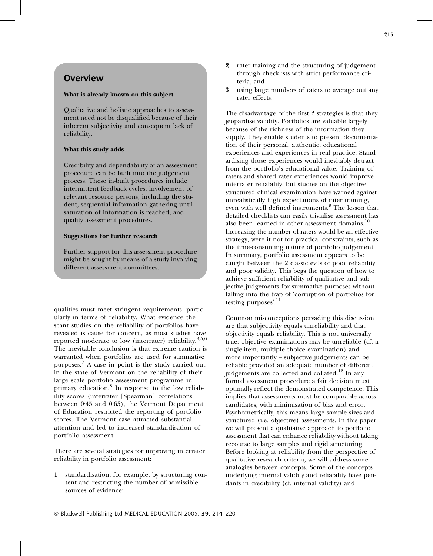## **Overview**

#### What is already known on this subject

Qualitative and holistic approaches to assessment need not be disqualified because of their inherent subjectivity and consequent lack of reliability.

#### What this study adds

Credibility and dependability of an assessment procedure can be built into the judgement process. These in-built procedures include intermittent feedback cycles, involvement of relevant resource persons, including the student, sequential information gathering until saturation of information is reached, and quality assessment procedures.

#### Suggestions for further research

Further support for this assessment procedure might be sought by means of a study involving different assessment committees.

qualities must meet stringent requirements, particularly in terms of reliability. What evidence the scant studies on the reliability of portfolios have revealed is cause for concern, as most studies have reported moderate to low (interrater) reliability. $3,5,6$ The inevitable conclusion is that extreme caution is warranted when portfolios are used for summative purposes.<sup>7</sup> A case in point is the study carried out in the state of Vermont on the reliability of their large scale portfolio assessment programme in primary education.<sup>8</sup> In response to the low reliability scores (interrater [Spearman] correlations between  $0.45$  and  $0.65$ ), the Vermont Department of Education restricted the reporting of portfolio scores. The Vermont case attracted substantial attention and led to increased standardisation of portfolio assessment.

There are several strategies for improving interrater reliability in portfolio assessment:

1 standardisation: for example, by structuring content and restricting the number of admissible sources of evidence;

- 2 rater training and the structuring of judgement through checklists with strict performance criteria, and
- 3 using large numbers of raters to average out any rater effects.

The disadvantage of the first 2 strategies is that they jeopardise validity. Portfolios are valuable largely because of the richness of the information they supply. They enable students to present documentation of their personal, authentic, educational experiences and experiences in real practice. Standardising those experiences would inevitably detract from the portfolio's educational value. Training of raters and shared rater experiences would improve interrater reliability, but studies on the objective structured clinical examination have warned against unrealistically high expectations of rater training, even with well defined instruments.<sup>9</sup> The lesson that detailed checklists can easily trivialise assessment has also been learned in other assessment domains.<sup>10</sup> Increasing the number of raters would be an effective strategy, were it not for practical constraints, such as the time-consuming nature of portfolio judgement. In summary, portfolio assessment appears to be caught between the 2 classic evils of poor reliability and poor validity. This begs the question of how to achieve sufficient reliability of qualitative and subjective judgements for summative purposes without falling into the trap of 'corruption of portfolios for testing purposes'.<sup>11</sup>

Common misconceptions pervading this discussion are that subjectivity equals unreliability and that objectivity equals reliability. This is not universally true: objective examinations may be unreliable (cf. a single-item, multiple-choice examination) and – more importantly – subjective judgements can be reliable provided an adequate number of different judgements are collected and collated.<sup>12</sup> In any formal assessment procedure a fair decision must optimally reflect the demonstrated competence. This implies that assessments must be comparable across candidates, with minimisation of bias and error. Psychometrically, this means large sample sizes and structured (i.e. objective) assessments. In this paper we will present a qualitative approach to portfolio assessment that can enhance reliability without taking recourse to large samples and rigid structuring. Before looking at reliability from the perspective of qualitative research criteria, we will address some analogies between concepts. Some of the concepts underlying internal validity and reliability have pendants in credibility (cf. internal validity) and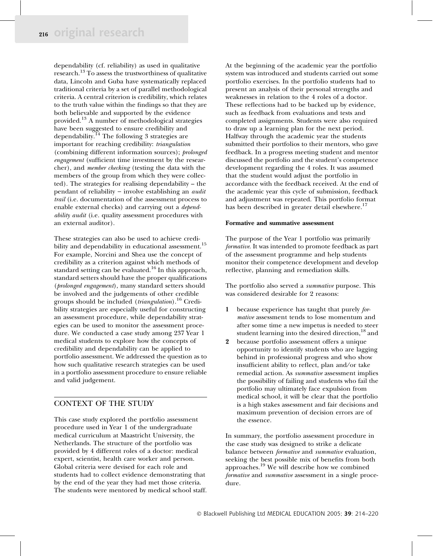dependability (cf. reliability) as used in qualitative research.<sup>13</sup> To assess the trustworthiness of qualitative data, Lincoln and Guba have systematically replaced traditional criteria by a set of parallel methodological criteria. A central criterion is credibility, which relates to the truth value within the findings so that they are both believable and supported by the evidence provided.<sup>13</sup> A number of methodological strategies have been suggested to ensure credibility and dependability.<sup>14</sup> The following 3 strategies are important for reaching credibility: triangulation (combining different information sources); prolonged engagement (sufficient time investment by the researcher), and member checking (testing the data with the members of the group from which they were collected). The strategies for realising dependability – the pendant of reliability – involve establishing an *audit* trail (i.e. documentation of the assessment process to enable external checks) and carrying out a dependability audit (i.e. quality assessment procedures with an external auditor).

These strategies can also be used to achieve credibility and dependability in educational assessment.<sup>15</sup> For example, Norcini and Shea use the concept of credibility as a criterion against which methods of standard setting can be evaluated.<sup>16</sup> In this approach, standard setters should have the proper qualifications (prolonged engagement), many standard setters should be involved and the judgements of other credible groups should be included *(triangulation)*.<sup>16</sup> Credibility strategies are especially useful for constructing an assessment procedure, while dependability strategies can be used to monitor the assessment procedure. We conducted a case study among 237 Year 1 medical students to explore how the concepts of credibility and dependability can be applied to portfolio assessment. We addressed the question as to how such qualitative research strategies can be used in a portfolio assessment procedure to ensure reliable and valid judgement.

#### CONTEXT OF THE STUDY

This case study explored the portfolio assessment procedure used in Year 1 of the undergraduate medical curriculum at Maastricht University, the Netherlands. The structure of the portfolio was provided by 4 different roles of a doctor: medical expert, scientist, health care worker and person. Global criteria were devised for each role and students had to collect evidence demonstrating that by the end of the year they had met those criteria. The students were mentored by medical school staff. At the beginning of the academic year the portfolio system was introduced and students carried out some portfolio exercises. In the portfolio students had to present an analysis of their personal strengths and weaknesses in relation to the 4 roles of a doctor. These reflections had to be backed up by evidence, such as feedback from evaluations and tests and completed assignments. Students were also required to draw up a learning plan for the next period. Halfway through the academic year the students submitted their portfolios to their mentors, who gave feedback. In a progress meeting student and mentor discussed the portfolio and the student's competence development regarding the 4 roles. It was assumed that the student would adjust the portfolio in accordance with the feedback received. At the end of the academic year this cycle of submission, feedback and adjustment was repeated. This portfolio format has been described in greater detail elsewhere.<sup>17</sup>

#### Formative and summative assessment

The purpose of the Year 1 portfolio was primarily formative. It was intended to promote feedback as part of the assessment programme and help students monitor their competence development and develop reflective, planning and remediation skills.

The portfolio also served a summative purpose. This was considered desirable for 2 reasons:

- 1 because experience has taught that purely formative assessment tends to lose momentum and after some time a new impetus is needed to steer student learning into the desired direction,<sup>18</sup> and
- 2 because portfolio assessment offers a unique opportunity to identify students who are lagging behind in professional progress and who show insufficient ability to reflect, plan and ⁄ or take remedial action. As summative assessment implies the possibility of failing and students who fail the portfolio may ultimately face expulsion from medical school, it will be clear that the portfolio is a high stakes assessment and fair decisions and maximum prevention of decision errors are of the essence.

In summary, the portfolio assessment procedure in the case study was designed to strike a delicate balance between *formative* and *summative* evaluation, seeking the best possible mix of benefits from both approaches.<sup>19</sup> We will describe how we combined formative and summative assessment in a single procedure.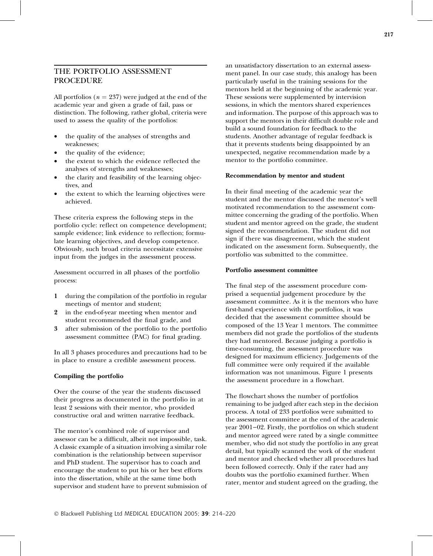### THE PORTFOLIO ASSESSMENT **PROCEDURE**

All portfolios ( $n = 237$ ) were judged at the end of the academic year and given a grade of fail, pass or distinction. The following, rather global, criteria were used to assess the quality of the portfolios:

- the quality of the analyses of strengths and weaknesses;
- the quality of the evidence;
- the extent to which the evidence reflected the analyses of strengths and weaknesses;
- the clarity and feasibility of the learning objectives, and
- the extent to which the learning objectives were achieved.

These criteria express the following steps in the portfolio cycle: reflect on competence development; sample evidence; link evidence to reflection; formulate learning objectives, and develop competence. Obviously, such broad criteria necessitate extensive input from the judges in the assessment process.

Assessment occurred in all phases of the portfolio process:

- 1 during the compilation of the portfolio in regular meetings of mentor and student;
- in the end-of-year meeting when mentor and student recommended the final grade, and
- 3 after submission of the portfolio to the portfolio assessment committee (PAC) for final grading.

In all 3 phases procedures and precautions had to be in place to ensure a credible assessment process.

#### Compiling the portfolio

Over the course of the year the students discussed their progress as documented in the portfolio in at least 2 sessions with their mentor, who provided constructive oral and written narrative feedback.

The mentor's combined role of supervisor and assessor can be a difficult, albeit not impossible, task. A classic example of a situation involving a similar role combination is the relationship between supervisor and PhD student. The supervisor has to coach and encourage the student to put his or her best efforts into the dissertation, while at the same time both supervisor and student have to prevent submission of an unsatisfactory dissertation to an external assessment panel. In our case study, this analogy has been particularly useful in the training sessions for the mentors held at the beginning of the academic year. These sessions were supplemented by intervision sessions, in which the mentors shared experiences and information. The purpose of this approach was to support the mentors in their difficult double role and build a sound foundation for feedback to the students. Another advantage of regular feedback is that it prevents students being disappointed by an unexpected, negative recommendation made by a mentor to the portfolio committee.

#### Recommendation by mentor and student

In their final meeting of the academic year the student and the mentor discussed the mentor's well motivated recommendation to the assessment committee concerning the grading of the portfolio. When student and mentor agreed on the grade, the student signed the recommendation. The student did not sign if there was disagreement, which the student indicated on the assessment form. Subsequently, the portfolio was submitted to the committee.

#### Portfolio assessment committee

The final step of the assessment procedure comprised a sequential judgement procedure by the assessment committee. As it is the mentors who have first-hand experience with the portfolios, it was decided that the assessment committee should be composed of the 13 Year 1 mentors. The committee members did not grade the portfolios of the students they had mentored. Because judging a portfolio is time-consuming, the assessment procedure was designed for maximum efficiency. Judgements of the full committee were only required if the available information was not unanimous. Figure 1 presents the assessment procedure in a flowchart.

The flowchart shows the number of portfolios remaining to be judged after each step in the decision process. A total of 233 portfolios were submitted to the assessment committee at the end of the academic year  $2001-02$ . Firstly, the portfolios on which student and mentor agreed were rated by a single committee member, who did not study the portfolio in any great detail, but typically scanned the work of the student and mentor and checked whether all procedures had been followed correctly. Only if the rater had any doubts was the portfolio examined further. When rater, mentor and student agreed on the grading, the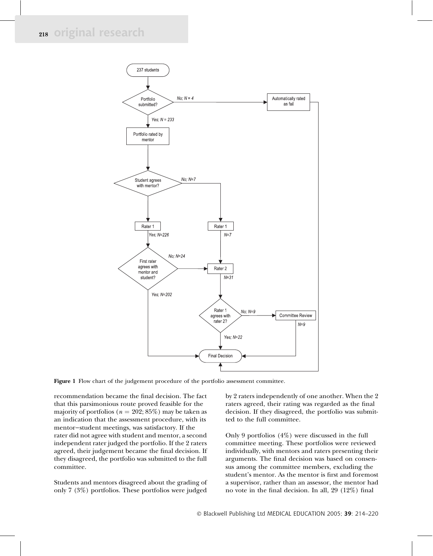

Figure 1 Flow chart of the judgement procedure of the portfolio assessment committee.

recommendation became the final decision. The fact that this parsimonious route proved feasible for the majority of portfolios ( $n = 202; 85\%$ ) may be taken as an indication that the assessment procedure, with its mentor-student meetings, was satisfactory. If the rater did not agree with student and mentor, a second independent rater judged the portfolio. If the 2 raters agreed, their judgement became the final decision. If they disagreed, the portfolio was submitted to the full committee.

Students and mentors disagreed about the grading of only 7 (3%) portfolios. These portfolios were judged

by 2 raters independently of one another. When the 2 raters agreed, their rating was regarded as the final decision. If they disagreed, the portfolio was submitted to the full committee.

Only 9 portfolios (4%) were discussed in the full committee meeting. These portfolios were reviewed individually, with mentors and raters presenting their arguments. The final decision was based on consensus among the committee members, excluding the student's mentor. As the mentor is first and foremost a supervisor, rather than an assessor, the mentor had no vote in the final decision. In all, 29 (12%) final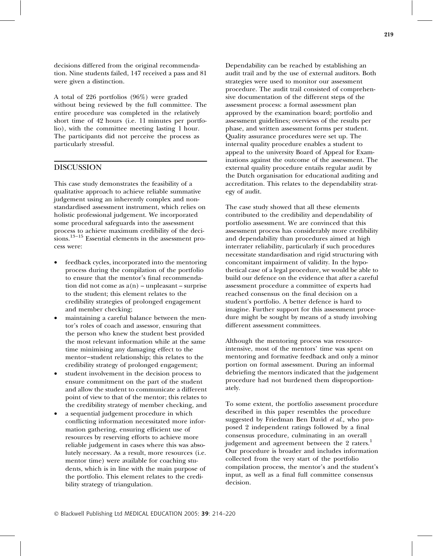decisions differed from the original recommendation. Nine students failed, 147 received a pass and 81 were given a distinction.

A total of 226 portfolios (96%) were graded without being reviewed by the full committee. The entire procedure was completed in the relatively short time of 42 hours (i.e. 11 minutes per portfolio), with the committee meeting lasting 1 hour. The participants did not perceive the process as particularly stressful.

#### **DISCUSSION**

This case study demonstrates the feasibility of a qualitative approach to achieve reliable summative judgement using an inherently complex and nonstandardised assessment instrument, which relies on holistic professional judgement. We incorporated some procedural safeguards into the assessment process to achieve maximum credibility of the decisions. $13-15$  Essential elements in the assessment process were:

- feedback cycles, incorporated into the mentoring process during the compilation of the portfolio to ensure that the mentor's final recommendation did not come as  $a(n)$  – unpleasant – surprise to the student; this element relates to the credibility strategies of prolonged engagement and member checking;
- maintaining a careful balance between the mentor's roles of coach and assessor, ensuring that the person who knew the student best provided the most relevant information while at the same time minimising any damaging effect to the mentor-student relationship; this relates to the credibility strategy of prolonged engagement;
- student involvement in the decision process to ensure commitment on the part of the student and allow the student to communicate a different point of view to that of the mentor; this relates to the credibility strategy of member checking, and
- a sequential judgement procedure in which conflicting information necessitated more information gathering, ensuring efficient use of resources by reserving efforts to achieve more reliable judgement in cases where this was absolutely necessary. As a result, more resources (i.e. mentor time) were available for coaching students, which is in line with the main purpose of the portfolio. This element relates to the credibility strategy of triangulation.

Dependability can be reached by establishing an audit trail and by the use of external auditors. Both strategies were used to monitor our assessment procedure. The audit trail consisted of comprehensive documentation of the different steps of the assessment process: a formal assessment plan approved by the examination board; portfolio and assessment guidelines; overviews of the results per phase, and written assessment forms per student. Quality assurance procedures were set up. The internal quality procedure enables a student to appeal to the university Board of Appeal for Examinations against the outcome of the assessment. The external quality procedure entails regular audit by the Dutch organisation for educational auditing and accreditation. This relates to the dependability strat-

The case study showed that all these elements contributed to the credibility and dependability of portfolio assessment. We are convinced that this assessment process has considerably more credibility and dependability than procedures aimed at high interrater reliability, particularly if such procedures necessitate standardisation and rigid structuring with concomitant impairment of validity. In the hypothetical case of a legal procedure, we would be able to build our defence on the evidence that after a careful assessment procedure a committee of experts had reached consensus on the final decision on a student's portfolio. A better defence is hard to imagine. Further support for this assessment procedure might be sought by means of a study involving different assessment committees.

egy of audit.

Although the mentoring process was resourceintensive, most of the mentors' time was spent on mentoring and formative feedback and only a minor portion on formal assessment. During an informal debriefing the mentors indicated that the judgement procedure had not burdened them disproportionately.

To some extent, the portfolio assessment procedure described in this paper resembles the procedure suggested by Friedman Ben David et al., who proposed 2 independent ratings followed by a final consensus procedure, culminating in an overall judgement and agreement between the 2 raters.<sup>1</sup> Our procedure is broader and includes information collected from the very start of the portfolio compilation process, the mentor's and the student's input, as well as a final full committee consensus decision.